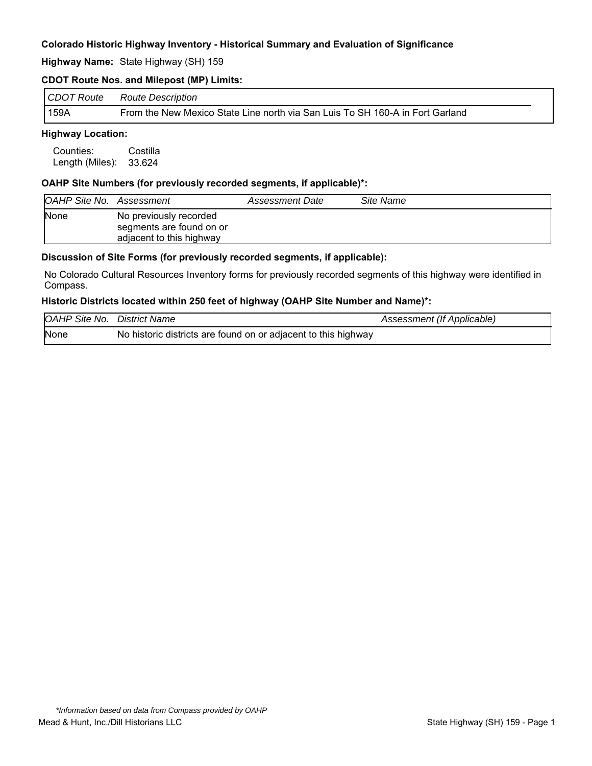**Highway Name:** State Highway (SH) 159

## **CDOT Route Nos. and Milepost (MP) Limits:**

| CDOT Route | <b>Route Description</b>                                                      |
|------------|-------------------------------------------------------------------------------|
| 159A       | From the New Mexico State Line north via San Luis To SH 160-A in Fort Garland |

## **Highway Location:**

Counties: Costilla Length (Miles): 33.624

## **OAHP Site Numbers (for previously recorded segments, if applicable)\*:**

| <b>OAHP Site No. Assessment</b> |                                                                                | Assessment Date | Site Name |
|---------------------------------|--------------------------------------------------------------------------------|-----------------|-----------|
| <b>None</b>                     | No previously recorded<br>segments are found on or<br>adjacent to this highway |                 |           |

#### **Discussion of Site Forms (for previously recorded segments, if applicable):**

No Colorado Cultural Resources Inventory forms for previously recorded segments of this highway were identified in Compass.

#### **Historic Districts located within 250 feet of highway (OAHP Site Number and Name)\*:**

| <b>OAHP Site No. District Name</b> |                                                                | Assessment (If Applicable) |
|------------------------------------|----------------------------------------------------------------|----------------------------|
| None                               | No historic districts are found on or adjacent to this highway |                            |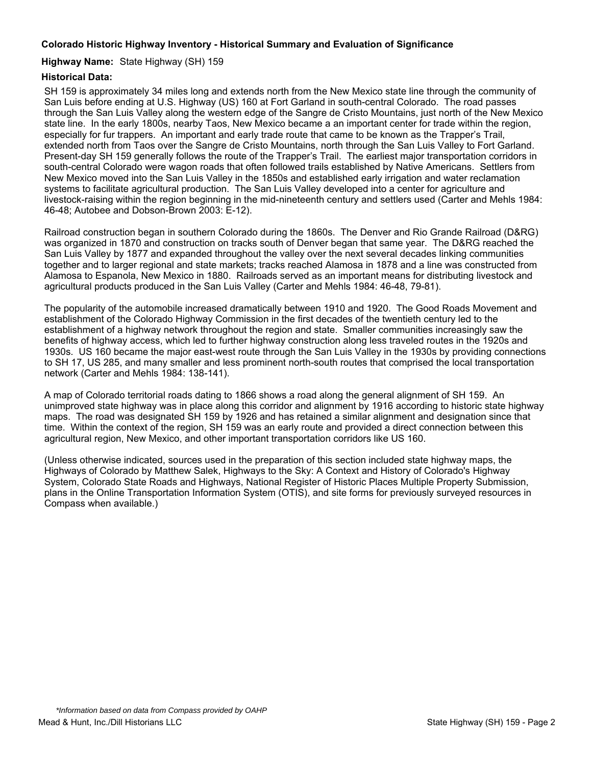## **Highway Name:** State Highway (SH) 159

## **Historical Data:**

SH 159 is approximately 34 miles long and extends north from the New Mexico state line through the community of San Luis before ending at U.S. Highway (US) 160 at Fort Garland in south-central Colorado. The road passes through the San Luis Valley along the western edge of the Sangre de Cristo Mountains, just north of the New Mexico state line. In the early 1800s, nearby Taos, New Mexico became a an important center for trade within the region, especially for fur trappers. An important and early trade route that came to be known as the Trapper's Trail, extended north from Taos over the Sangre de Cristo Mountains, north through the San Luis Valley to Fort Garland. Present-day SH 159 generally follows the route of the Trapper's Trail. The earliest major transportation corridors in south-central Colorado were wagon roads that often followed trails established by Native Americans. Settlers from New Mexico moved into the San Luis Valley in the 1850s and established early irrigation and water reclamation systems to facilitate agricultural production. The San Luis Valley developed into a center for agriculture and livestock-raising within the region beginning in the mid-nineteenth century and settlers used (Carter and Mehls 1984: 46-48; Autobee and Dobson-Brown 2003: E-12).

Railroad construction began in southern Colorado during the 1860s. The Denver and Rio Grande Railroad (D&RG) was organized in 1870 and construction on tracks south of Denver began that same year. The D&RG reached the San Luis Valley by 1877 and expanded throughout the valley over the next several decades linking communities together and to larger regional and state markets; tracks reached Alamosa in 1878 and a line was constructed from Alamosa to Espanola, New Mexico in 1880. Railroads served as an important means for distributing livestock and agricultural products produced in the San Luis Valley (Carter and Mehls 1984: 46-48, 79-81).

The popularity of the automobile increased dramatically between 1910 and 1920. The Good Roads Movement and establishment of the Colorado Highway Commission in the first decades of the twentieth century led to the establishment of a highway network throughout the region and state. Smaller communities increasingly saw the benefits of highway access, which led to further highway construction along less traveled routes in the 1920s and 1930s. US 160 became the major east-west route through the San Luis Valley in the 1930s by providing connections to SH 17, US 285, and many smaller and less prominent north-south routes that comprised the local transportation network (Carter and Mehls 1984: 138-141).

A map of Colorado territorial roads dating to 1866 shows a road along the general alignment of SH 159. An unimproved state highway was in place along this corridor and alignment by 1916 according to historic state highway maps. The road was designated SH 159 by 1926 and has retained a similar alignment and designation since that time. Within the context of the region, SH 159 was an early route and provided a direct connection between this agricultural region, New Mexico, and other important transportation corridors like US 160.

(Unless otherwise indicated, sources used in the preparation of this section included state highway maps, the Highways of Colorado by Matthew Salek, Highways to the Sky: A Context and History of Colorado's Highway System, Colorado State Roads and Highways, National Register of Historic Places Multiple Property Submission, plans in the Online Transportation Information System (OTIS), and site forms for previously surveyed resources in Compass when available.)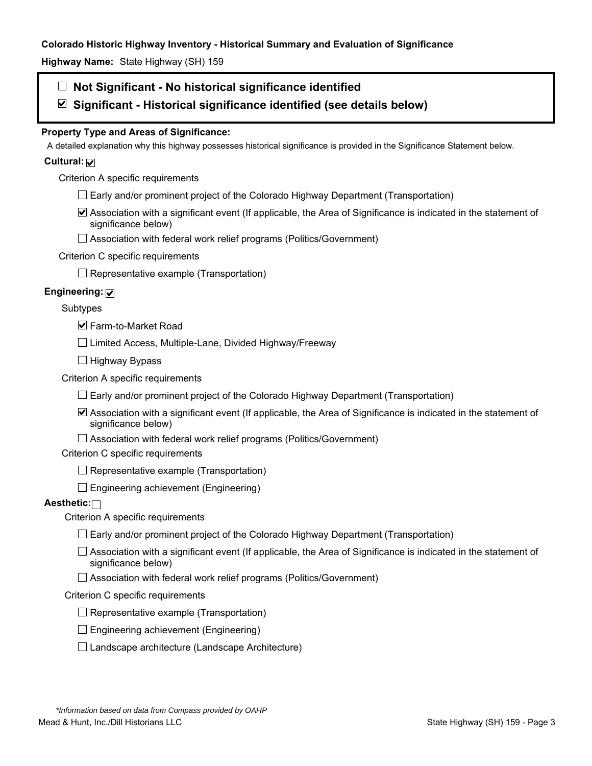**Highway Name:** State Highway (SH) 159

## **Not Significant - No historical significance identified**

**Significant - Historical significance identified (see details below)** 

## **Property Type and Areas of Significance:**

A detailed explanation why this highway possesses historical significance is provided in the Significance Statement below.

## **Cultural:**

Criterion A specific requirements

- $\Box$  Early and/or prominent project of the Colorado Highway Department (Transportation)
- Association with a significant event (If applicable, the Area of Significance is indicated in the statement of significance below)
- □ Association with federal work relief programs (Politics/Government)

## Criterion C specific requirements

 $\Box$  Representative example (Transportation)

## **Engineering:**

## Subtypes

 $\blacksquare$  **Farm-to-Market Road** 

 $\Box$  Limited Access, Multiple-Lane, Divided Highway/Freeway

 $\Box$  Highway Bypass

Criterion A specific requirements

- $\Box$  Early and/or prominent project of the Colorado Highway Department (Transportation)
- Association with a significant event (If applicable, the Area of Significance is indicated in the statement of significance below)
- $\Box$  Association with federal work relief programs (Politics/Government)

Criterion C specific requirements

- $\Box$  Representative example (Transportation)
- $\Box$  Engineering achievement (Engineering)

#### **Aesthetic:**

Criterion A specific requirements

- $\Box$  Early and/or prominent project of the Colorado Highway Department (Transportation)
- $\Box$  Association with a significant event (If applicable, the Area of Significance is indicated in the statement of significance below)
- $\Box$  Association with federal work relief programs (Politics/Government)

## Criterion C specific requirements

- $\Box$  Representative example (Transportation)
- $\square$  Engineering achievement (Engineering)
- $\square$  Landscape architecture (Landscape Architecture)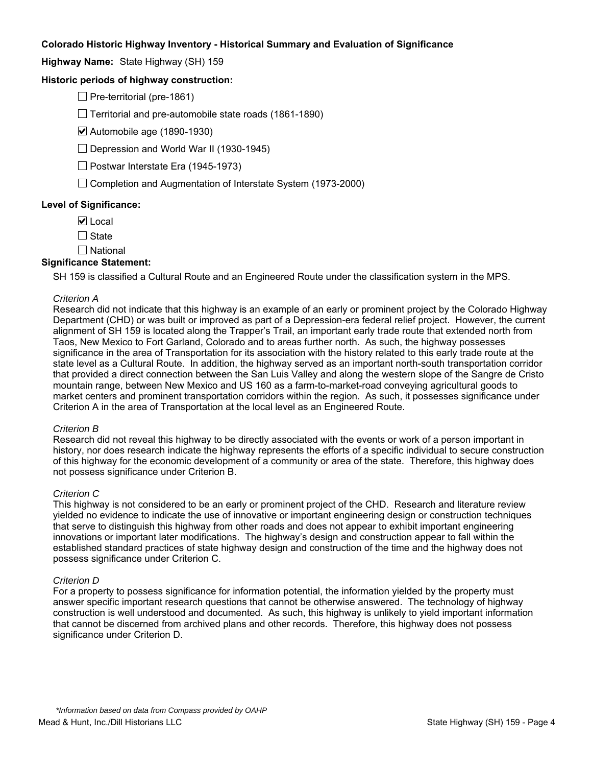**Highway Name:** State Highway (SH) 159

## **Historic periods of highway construction:**

 $\Box$  Pre-territorial (pre-1861)

 $\Box$  Territorial and pre-automobile state roads (1861-1890)

Automobile age (1890-1930)

 $\Box$  Depression and World War II (1930-1945)

 $\Box$  Postwar Interstate Era (1945-1973)

 $\Box$  Completion and Augmentation of Interstate System (1973-2000)

### **Level of Significance:**

 $\nabla$  Local

 $\Box$  State

 $\square$  National

#### **Significance Statement:**

SH 159 is classified a Cultural Route and an Engineered Route under the classification system in the MPS.

#### *Criterion A*

Research did not indicate that this highway is an example of an early or prominent project by the Colorado Highway Department (CHD) or was built or improved as part of a Depression-era federal relief project. However, the current alignment of SH 159 is located along the Trapper's Trail, an important early trade route that extended north from Taos, New Mexico to Fort Garland, Colorado and to areas further north. As such, the highway possesses significance in the area of Transportation for its association with the history related to this early trade route at the state level as a Cultural Route. In addition, the highway served as an important north-south transportation corridor that provided a direct connection between the San Luis Valley and along the western slope of the Sangre de Cristo mountain range, between New Mexico and US 160 as a farm-to-market-road conveying agricultural goods to market centers and prominent transportation corridors within the region. As such, it possesses significance under Criterion A in the area of Transportation at the local level as an Engineered Route.

#### *Criterion B*

Research did not reveal this highway to be directly associated with the events or work of a person important in history, nor does research indicate the highway represents the efforts of a specific individual to secure construction of this highway for the economic development of a community or area of the state. Therefore, this highway does not possess significance under Criterion B.

#### *Criterion C*

This highway is not considered to be an early or prominent project of the CHD. Research and literature review yielded no evidence to indicate the use of innovative or important engineering design or construction techniques that serve to distinguish this highway from other roads and does not appear to exhibit important engineering innovations or important later modifications. The highway's design and construction appear to fall within the established standard practices of state highway design and construction of the time and the highway does not possess significance under Criterion C.

#### *Criterion D*

For a property to possess significance for information potential, the information yielded by the property must answer specific important research questions that cannot be otherwise answered. The technology of highway construction is well understood and documented. As such, this highway is unlikely to yield important information that cannot be discerned from archived plans and other records. Therefore, this highway does not possess significance under Criterion D.